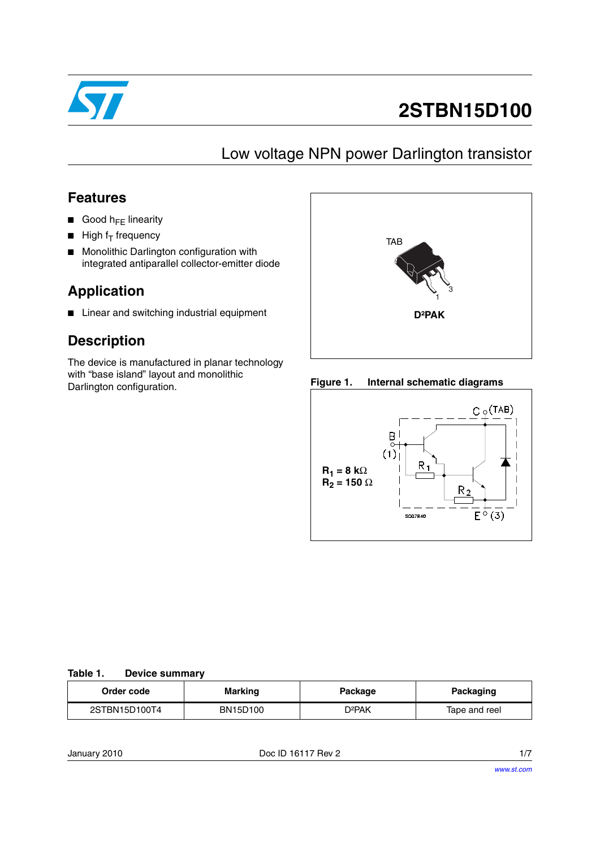

# **2STBN15D100**

### Low voltage NPN power Darlington transistor

### **Features**

- Good  $h_{FF}$  linearity
- $\blacksquare$  High f<sub>T</sub> frequency
- Monolithic Darlington configuration with integrated antiparallel collector-emitter diode

### **Application**

■ Linear and switching industrial equipment

### **Description**

The device is manufactured in planar technology with "base island" layout and monolithic Darlington configuration.



**Figure 1. Internal schematic diagrams**



#### <span id="page-0-0"></span>**Table 1. Device summary**

| Order code    | <b>Marking</b> | Package | Packaging     |  |
|---------------|----------------|---------|---------------|--|
| 2STBN15D100T4 | BN15D100       | D2PAK   | Tape and reel |  |

January 2010 **Doce ID 16117 Rev 2** 1/7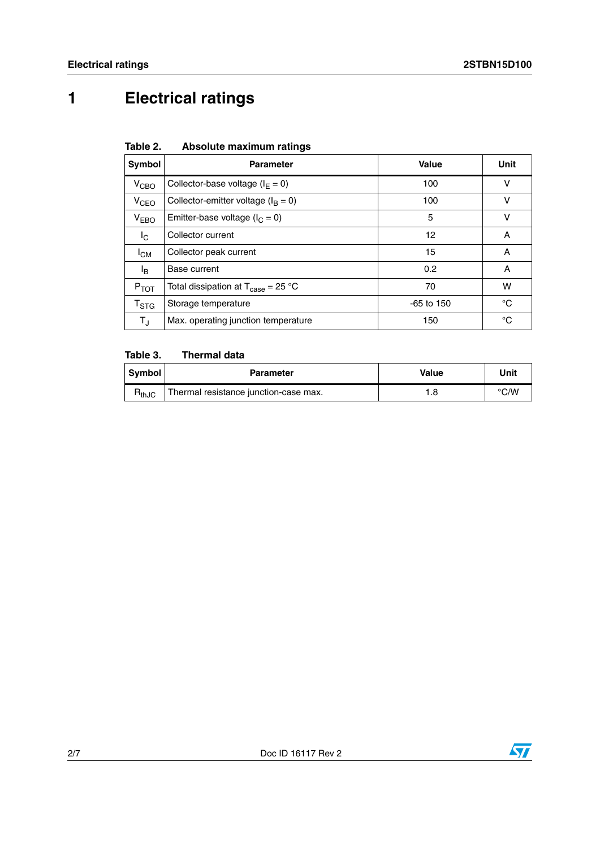# **1 Electrical ratings**

| Table 2. | Absolute maximum ratings |  |
|----------|--------------------------|--|
|          |                          |  |

| Symbol                    | <b>Parameter</b>                                                     | Value        | Unit   |
|---------------------------|----------------------------------------------------------------------|--------------|--------|
| V <sub>CBO</sub>          | Collector-base voltage ( $I_F = 0$ )                                 | 100          | v      |
| V <sub>CEO</sub>          | Collector-emitter voltage ( $I_B = 0$ )                              | 100          | $\vee$ |
| V <sub>EBO</sub>          | Emitter-base voltage ( $I_C = 0$ )                                   | 5            | v      |
| I <sub>C</sub>            | Collector current                                                    | 12           | A      |
| $I_{CM}$                  | Collector peak current                                               | 15           | A      |
| l <sub>B</sub>            | Base current                                                         | 0.2          | A      |
| $P_{TOT}$                 | Total dissipation at $T_{\text{case}} = 25 \text{ }^{\circ}\text{C}$ | 70           | w      |
| $\mathsf{T}_{\text{STG}}$ | Storage temperature                                                  | $-65$ to 150 | °C     |
| $T_{\rm J}$               | Max. operating junction temperature                                  | 150          | °C     |

### **Table 3. Thermal data**

| Symbol     | <b>Parameter</b>                      | Value | Unit |
|------------|---------------------------------------|-------|------|
| $R_{thJC}$ | Thermal resistance junction-case max. | 8. I  | °C/W |

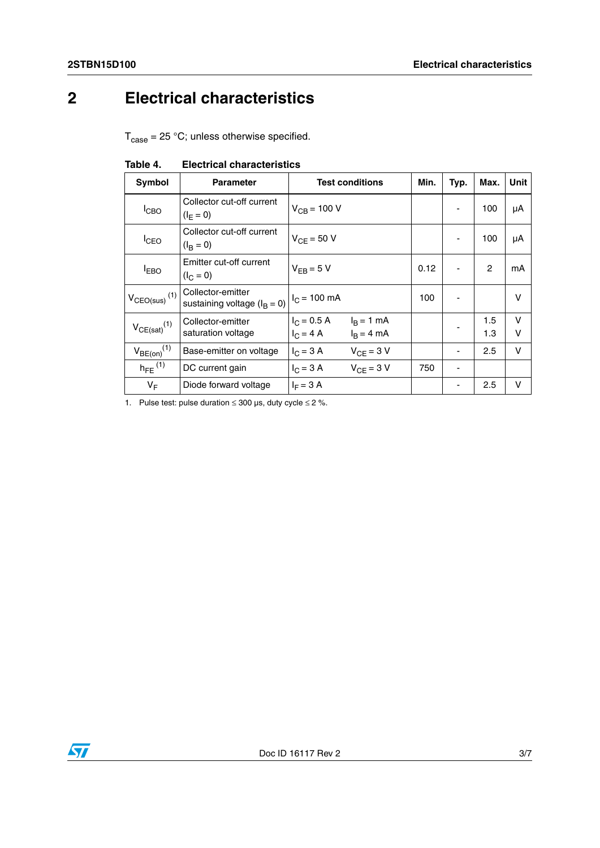# **2 Electrical characteristics**

 $T_{\text{case}} = 25 \text{ °C}$ ; unless otherwise specified.

| Symbol                        | <b>Parameter</b>                                      | <b>Test conditions</b>                                     | Min. | Typ. | Max.       | Unit        |
|-------------------------------|-------------------------------------------------------|------------------------------------------------------------|------|------|------------|-------------|
| <b>I</b> CBO                  | Collector cut-off current<br>$(I_F = 0)$              | $V_{CB} = 100 V$                                           |      |      | 100        | μA          |
| <b>I</b> CEO                  | Collector cut-off current<br>$(I_{\rm B} = 0)$        | $V_{CF} = 50 V$                                            |      | ٠    | 100        | μA          |
| <sup>I</sup> EBO              | Emitter cut-off current<br>$(I_C = 0)$                | $V_{FR} = 5 V$                                             | 0.12 |      | 2          | mA          |
| $V_{CEO(sus)}$ <sup>(1)</sup> | Collector-emitter<br>sustaining voltage ( $I_B = 0$ ) | $I_C = 100$ mA                                             | 100  |      |            | v           |
| $V_{CE(sat)}$ <sup>(1)</sup>  | Collector-emitter<br>saturation voltage               | $I_C = 0.5 A$<br>$IB = 1 mA$<br>$I_C = 4 A$<br>$IB = 4 mA$ |      |      | 1.5<br>1.3 | v<br>$\vee$ |
| $V_{BE(on)}$ <sup>(1)</sup>   | Base-emitter on voltage                               | $I_C = 3 A$<br>$V_{CF}$ = 3 V                              |      |      | 2.5        | v           |
| $h_{FE}$ <sup>(1)</sup>       | DC current gain                                       | $I_C = 3 A$<br>$V_{CF}$ = 3 V                              | 750  |      |            |             |
| $V_F$                         | Diode forward voltage                                 | $I_F = 3 A$                                                |      |      | 2.5        | v           |

**Table 4. Electrical characteristics**

1. Pulse test: pulse duration  $\leq 300$  µs, duty cycle  $\leq 2$  %.

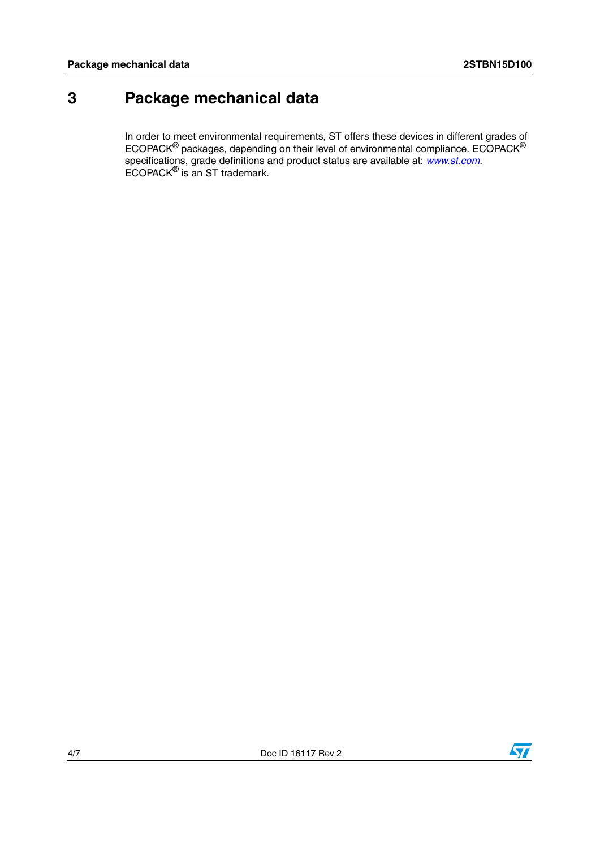## **3 Package mechanical data**

In order to meet environmental requirements, ST offers these devices in different grades of ECOPACK $^{\circledR}$  packages, depending on their level of environmental compliance. ECOPACK $^{\circledR}$ specifications, grade definitions and product status are available at: *[www.st.com](http://www.st.com)*. ECOPACK® is an ST trademark.

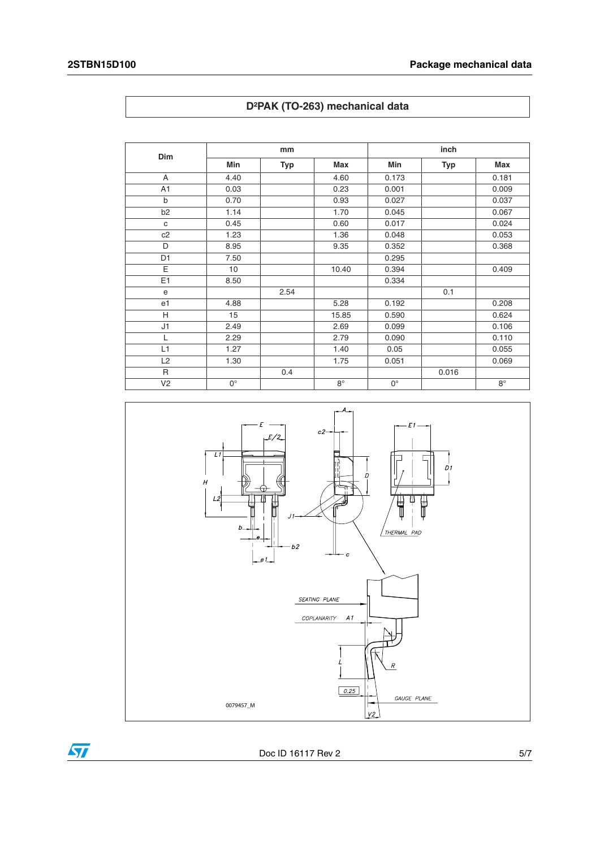| Dim            | mm              |      |             | inch        |            |             |
|----------------|-----------------|------|-------------|-------------|------------|-------------|
|                | Min             | Typ  | Max         | <b>Min</b>  | <b>Typ</b> | <b>Max</b>  |
| A              | 4.40            |      | 4.60        | 0.173       |            | 0.181       |
| A <sub>1</sub> | 0.03            |      | 0.23        | 0.001       |            | 0.009       |
| b              | 0.70            |      | 0.93        | 0.027       |            | 0.037       |
| b <sub>2</sub> | 1.14            |      | 1.70        | 0.045       |            | 0.067       |
| c              | 0.45            |      | 0.60        | 0.017       |            | 0.024       |
| c2             | 1.23            |      | 1.36        | 0.048       |            | 0.053       |
| D              | 8.95            |      | 9.35        | 0.352       |            | 0.368       |
| D <sub>1</sub> | 7.50            |      |             | 0.295       |            |             |
| E              | 10 <sup>1</sup> |      | 10.40       | 0.394       |            | 0.409       |
| E1             | 8.50            |      |             | 0.334       |            |             |
| e              |                 | 2.54 |             |             | 0.1        |             |
| e <sub>1</sub> | 4.88            |      | 5.28        | 0.192       |            | 0.208       |
| H              | 15              |      | 15.85       | 0.590       |            | 0.624       |
| J1             | 2.49            |      | 2.69        | 0.099       |            | 0.106       |
| L              | 2.29            |      | 2.79        | 0.090       |            | 0.110       |
| L1             | 1.27            |      | 1.40        | 0.05        |            | 0.055       |
| L2             | 1.30            |      | 1.75        | 0.051       |            | 0.069       |
| $\mathsf{R}$   |                 | 0.4  |             |             | 0.016      |             |
| V <sub>2</sub> | $0^{\circ}$     |      | $8^{\circ}$ | $0^{\circ}$ |            | $8^{\circ}$ |





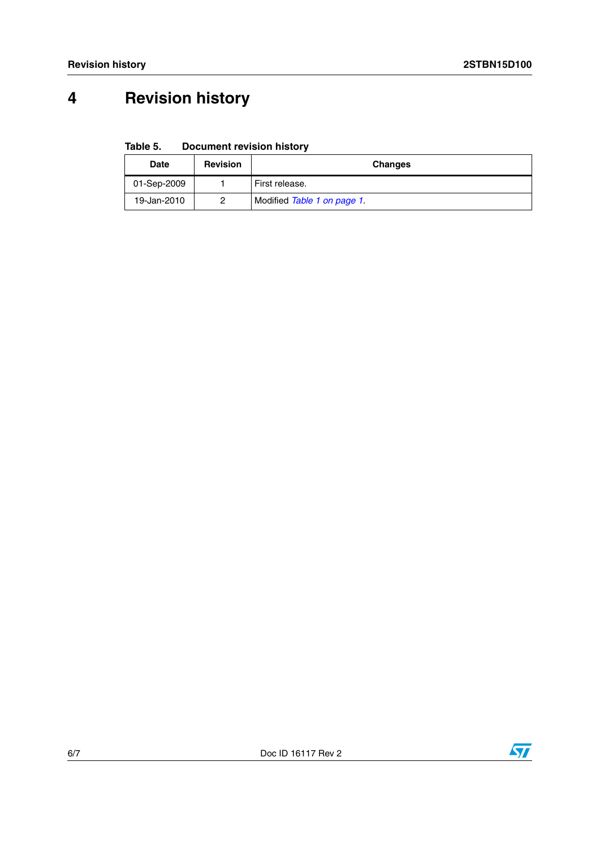# **4 Revision history**

**Table 5. Document revision history**

| Date        | <b>Revision</b> | <b>Changes</b>              |  |
|-------------|-----------------|-----------------------------|--|
| 01-Sep-2009 |                 | First release.              |  |
| 19-Jan-2010 | 2               | Modified Table 1 on page 1. |  |



 $\sqrt{2}$